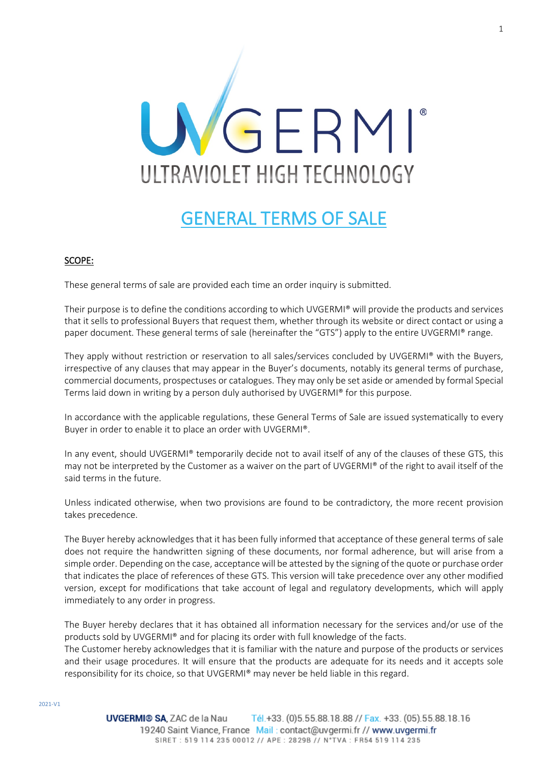

# GENERAL TERMS OF SALE

# SCOPE:

These general terms of sale are provided each time an order inquiry is submitted.

Their purpose is to define the conditions according to which UVGERMI® will provide the products and services that it sells to professional Buyers that request them, whether through its website or direct contact or using a paper document. These general terms of sale (hereinafter the "GTS") apply to the entire UVGERMI® range.

They apply without restriction or reservation to all sales/services concluded by UVGERMI® with the Buyers, irrespective of any clauses that may appear in the Buyer's documents, notably its general terms of purchase, commercial documents, prospectuses or catalogues. They may only be set aside or amended by formal Special Terms laid down in writing by a person duly authorised by UVGERMI® for this purpose.

In accordance with the applicable regulations, these General Terms of Sale are issued systematically to every Buyer in order to enable it to place an order with UVGERMI®.

In any event, should UVGERMI® temporarily decide not to avail itself of any of the clauses of these GTS, this may not be interpreted by the Customer as a waiver on the part of UVGERMI® of the right to avail itself of the said terms in the future.

Unless indicated otherwise, when two provisions are found to be contradictory, the more recent provision takes precedence.

The Buyer hereby acknowledges that it has been fully informed that acceptance of these general terms of sale does not require the handwritten signing of these documents, nor formal adherence, but will arise from a simple order. Depending on the case, acceptance will be attested by the signing of the quote or purchase order that indicates the place of references of these GTS. This version will take precedence over any other modified version, except for modifications that take account of legal and regulatory developments, which will apply immediately to any order in progress.

The Buyer hereby declares that it has obtained all information necessary for the services and/or use of the products sold by UVGERMI® and for placing its order with full knowledge of the facts. The Customer hereby acknowledges that it is familiar with the nature and purpose of the products or services and their usage procedures. It will ensure that the products are adequate for its needs and it accepts sole responsibility for its choice, so that UVGERMI® may never be held liable in this regard.

1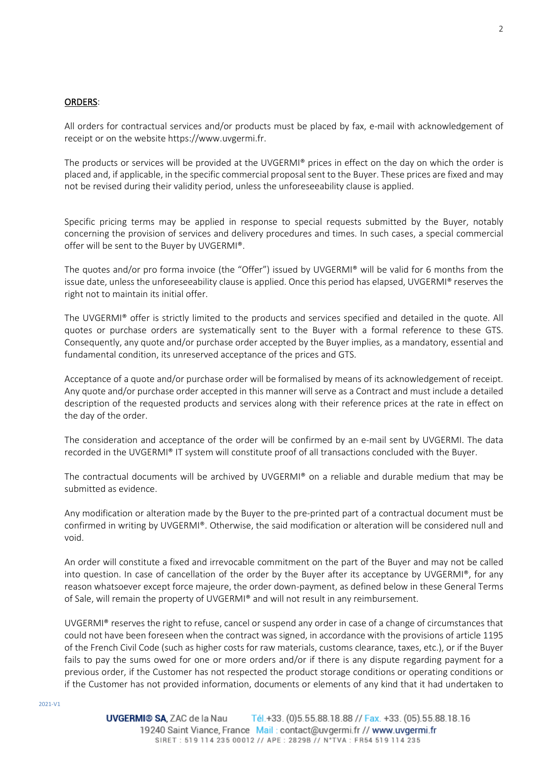# ORDERS:

All orders for contractual services and/or products must be placed by fax, e-mail with acknowledgement of receipt or on the website https://www.uvgermi.fr.

The products or services will be provided at the UVGERMI® prices in effect on the day on which the order is placed and, if applicable, in the specific commercial proposal sent to the Buyer. These prices are fixed and may not be revised during their validity period, unless the unforeseeability clause is applied.

Specific pricing terms may be applied in response to special requests submitted by the Buyer, notably concerning the provision of services and delivery procedures and times. In such cases, a special commercial offer will be sent to the Buyer by UVGERMI®.

The quotes and/or pro forma invoice (the "Offer") issued by UVGERMI® will be valid for 6 months from the issue date, unless the unforeseeability clause is applied. Once this period has elapsed, UVGERMI® reserves the right not to maintain its initial offer.

The UVGERMI® offer is strictly limited to the products and services specified and detailed in the quote. All quotes or purchase orders are systematically sent to the Buyer with a formal reference to these GTS. Consequently, any quote and/or purchase order accepted by the Buyer implies, as a mandatory, essential and fundamental condition, its unreserved acceptance of the prices and GTS.

Acceptance of a quote and/or purchase order will be formalised by means of its acknowledgement of receipt. Any quote and/or purchase order accepted in this manner will serve as a Contract and must include a detailed description of the requested products and services along with their reference prices at the rate in effect on the day of the order.

The consideration and acceptance of the order will be confirmed by an e-mail sent by UVGERMI. The data recorded in the UVGERMI® IT system will constitute proof of all transactions concluded with the Buyer.

The contractual documents will be archived by UVGERMI® on a reliable and durable medium that may be submitted as evidence.

Any modification or alteration made by the Buyer to the pre-printed part of a contractual document must be confirmed in writing by UVGERMI®. Otherwise, the said modification or alteration will be considered null and void.

An order will constitute a fixed and irrevocable commitment on the part of the Buyer and may not be called into question. In case of cancellation of the order by the Buyer after its acceptance by UVGERMI®, for any reason whatsoever except force majeure, the order down-payment, as defined below in these General Terms of Sale, will remain the property of UVGERMI® and will not result in any reimbursement.

UVGERMI® reserves the right to refuse, cancel or suspend any order in case of a change of circumstances that could not have been foreseen when the contract was signed, in accordance with the provisions of article 1195 of the French Civil Code (such as higher costs for raw materials, customs clearance, taxes, etc.), or if the Buyer fails to pay the sums owed for one or more orders and/or if there is any dispute regarding payment for a previous order, if the Customer has not respected the product storage conditions or operating conditions or if the Customer has not provided information, documents or elements of any kind that it had undertaken to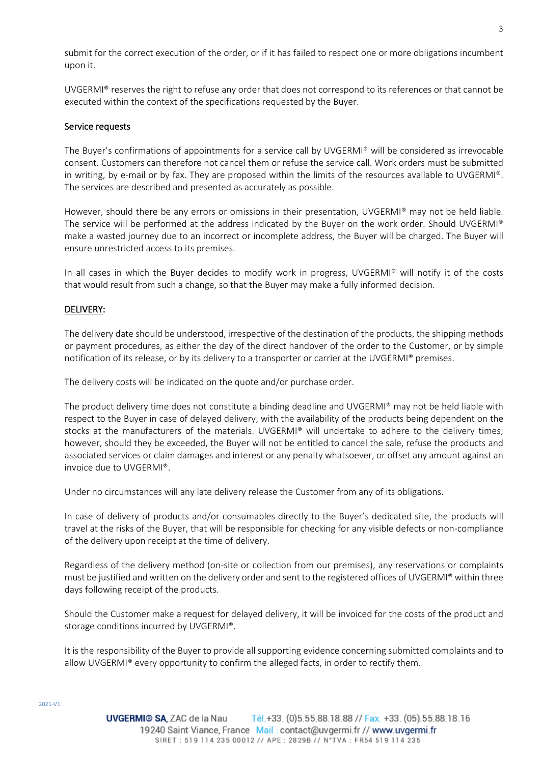submit for the correct execution of the order, or if it has failed to respect one or more obligations incumbent upon it.

UVGERMI® reserves the right to refuse any order that does not correspond to its references or that cannot be executed within the context of the specifications requested by the Buyer.

## Service requests

The Buyer's confirmations of appointments for a service call by UVGERMI® will be considered as irrevocable consent. Customers can therefore not cancel them or refuse the service call. Work orders must be submitted in writing, by e-mail or by fax. They are proposed within the limits of the resources available to UVGERMI®. The services are described and presented as accurately as possible.

However, should there be any errors or omissions in their presentation, UVGERMI® may not be held liable. The service will be performed at the address indicated by the Buyer on the work order. Should UVGERMI® make a wasted journey due to an incorrect or incomplete address, the Buyer will be charged. The Buyer will ensure unrestricted access to its premises.

In all cases in which the Buyer decides to modify work in progress, UVGERMI® will notify it of the costs that would result from such a change, so that the Buyer may make a fully informed decision.

### DELIVERY:

The delivery date should be understood, irrespective of the destination of the products, the shipping methods or payment procedures, as either the day of the direct handover of the order to the Customer, or by simple notification of its release, or by its delivery to a transporter or carrier at the UVGERMI® premises.

The delivery costs will be indicated on the quote and/or purchase order.

The product delivery time does not constitute a binding deadline and UVGERMI® may not be held liable with respect to the Buyer in case of delayed delivery, with the availability of the products being dependent on the stocks at the manufacturers of the materials. UVGERMI® will undertake to adhere to the delivery times; however, should they be exceeded, the Buyer will not be entitled to cancel the sale, refuse the products and associated services or claim damages and interest or any penalty whatsoever, or offset any amount against an invoice due to UVGERMI®.

Under no circumstances will any late delivery release the Customer from any of its obligations.

In case of delivery of products and/or consumables directly to the Buyer's dedicated site, the products will travel at the risks of the Buyer, that will be responsible for checking for any visible defects or non-compliance of the delivery upon receipt at the time of delivery.

Regardless of the delivery method (on-site or collection from our premises), any reservations or complaints must be justified and written on the delivery order and sent to the registered offices of UVGERMI® within three days following receipt of the products.

Should the Customer make a request for delayed delivery, it will be invoiced for the costs of the product and storage conditions incurred by UVGERMI®.

It is the responsibility of the Buyer to provide all supporting evidence concerning submitted complaints and to allow UVGERMI® every opportunity to confirm the alleged facts, in order to rectify them.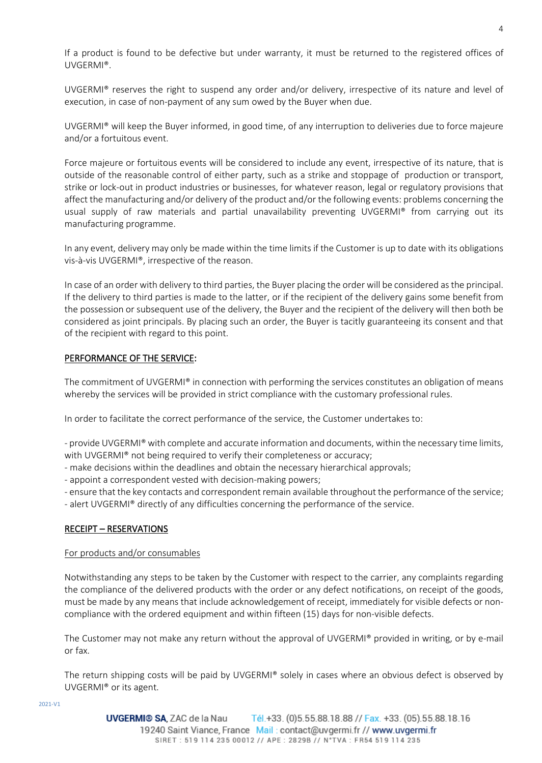If a product is found to be defective but under warranty, it must be returned to the registered offices of UVGERMI®.

UVGERMI® reserves the right to suspend any order and/or delivery, irrespective of its nature and level of execution, in case of non-payment of any sum owed by the Buyer when due.

UVGERMI® will keep the Buyer informed, in good time, of any interruption to deliveries due to force majeure and/or a fortuitous event.

Force majeure or fortuitous events will be considered to include any event, irrespective of its nature, that is outside of the reasonable control of either party, such as a strike and stoppage of production or transport, strike or lock-out in product industries or businesses, for whatever reason, legal or regulatory provisions that affect the manufacturing and/or delivery of the product and/or the following events: problems concerning the usual supply of raw materials and partial unavailability preventing UVGERMI® from carrying out its manufacturing programme.

In any event, delivery may only be made within the time limits if the Customer is up to date with its obligations vis-à-vis UVGERMI®, irrespective of the reason.

In case of an order with delivery to third parties, the Buyer placing the order will be considered as the principal. If the delivery to third parties is made to the latter, or if the recipient of the delivery gains some benefit from the possession or subsequent use of the delivery, the Buyer and the recipient of the delivery will then both be considered as joint principals. By placing such an order, the Buyer is tacitly guaranteeing its consent and that of the recipient with regard to this point.

# PERFORMANCE OF THE SERVICE:

The commitment of UVGERMI® in connection with performing the services constitutes an obligation of means whereby the services will be provided in strict compliance with the customary professional rules.

In order to facilitate the correct performance of the service, the Customer undertakes to:

- provide UVGERMI® with complete and accurate information and documents, within the necessary time limits, with UVGERMI<sup>®</sup> not being required to verify their completeness or accuracy;

- make decisions within the deadlines and obtain the necessary hierarchical approvals;
- appoint a correspondent vested with decision-making powers;
- ensure that the key contacts and correspondent remain available throughout the performance of the service;

- alert UVGERMI® directly of any difficulties concerning the performance of the service.

# RECEIPT – RESERVATIONS

# For products and/or consumables

Notwithstanding any steps to be taken by the Customer with respect to the carrier, any complaints regarding the compliance of the delivered products with the order or any defect notifications, on receipt of the goods, must be made by any means that include acknowledgement of receipt, immediately for visible defects or noncompliance with the ordered equipment and within fifteen (15) days for non-visible defects.

The Customer may not make any return without the approval of UVGERMI® provided in writing, or by e-mail or fax.

The return shipping costs will be paid by UVGERMI® solely in cases where an obvious defect is observed by UVGERMI® or its agent.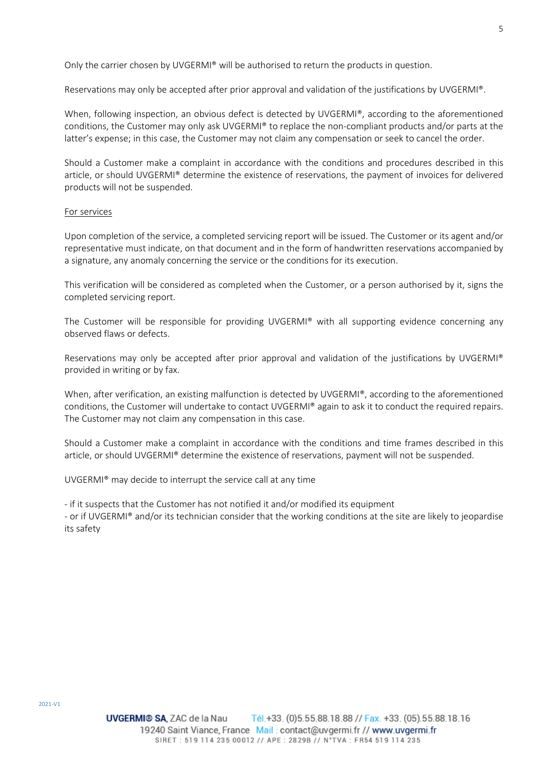Only the carrier chosen by UVGERMI® will be authorised to return the products in question.

Reservations may only be accepted after prior approval and validation of the justifications by UVGERMI®.

When, following inspection, an obvious defect is detected by UVGERMI®, according to the aforementioned conditions, the Customer may only ask UVGERMI® to replace the non-compliant products and/or parts at the latter's expense; in this case, the Customer may not claim any compensation or seek to cancel the order.

Should a Customer make a complaint in accordance with the conditions and procedures described in this article, or should UVGERMI® determine the existence of reservations, the payment of invoices for delivered products will not be suspended.

#### For services

Upon completion of the service, a completed servicing report will be issued. The Customer or its agent and/or representative must indicate, on that document and in the form of handwritten reservations accompanied by a signature, any anomaly concerning the service or the conditions for its execution.

This verification will be considered as completed when the Customer, or a person authorised by it, signs the completed servicing report.

The Customer will be responsible for providing UVGERMI® with all supporting evidence concerning any observed flaws or defects.

Reservations may only be accepted after prior approval and validation of the justifications by UVGERMI® provided in writing or by fax.

When, after verification, an existing malfunction is detected by UVGERMI®, according to the aforementioned conditions, the Customer will undertake to contact UVGERMI® again to ask it to conduct the required repairs. The Customer may not claim any compensation in this case.

Should a Customer make a complaint in accordance with the conditions and time frames described in this article, or should UVGERMI® determine the existence of reservations, payment will not be suspended.

UVGERMI® may decide to interrupt the service call at any time

- if it suspects that the Customer has not notified it and/or modified its equipment

- or if UVGERMI® and/or its technician consider that the working conditions at the site are likely to jeopardise its safety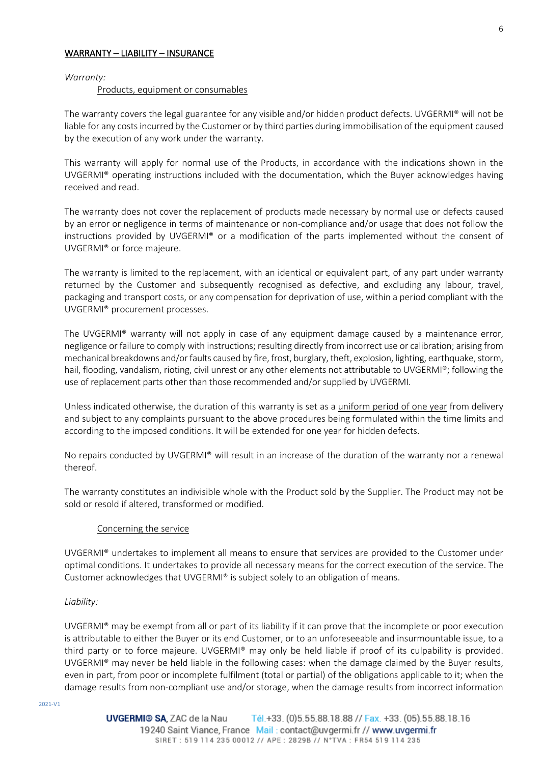# WARRANTY – LIABILITY – INSURANCE

#### *Warranty:*

#### Products, equipment or consumables

The warranty covers the legal guarantee for any visible and/or hidden product defects. UVGERMI® will not be liable for any costs incurred by the Customer or by third parties during immobilisation of the equipment caused by the execution of any work under the warranty.

This warranty will apply for normal use of the Products, in accordance with the indications shown in the UVGERMI® operating instructions included with the documentation, which the Buyer acknowledges having received and read.

The warranty does not cover the replacement of products made necessary by normal use or defects caused by an error or negligence in terms of maintenance or non-compliance and/or usage that does not follow the instructions provided by UVGERMI® or a modification of the parts implemented without the consent of UVGERMI® or force majeure.

The warranty is limited to the replacement, with an identical or equivalent part, of any part under warranty returned by the Customer and subsequently recognised as defective, and excluding any labour, travel, packaging and transport costs, or any compensation for deprivation of use, within a period compliant with the UVGERMI® procurement processes.

The UVGERMI® warranty will not apply in case of any equipment damage caused by a maintenance error, negligence or failure to comply with instructions; resulting directly from incorrect use or calibration; arising from mechanical breakdowns and/or faults caused by fire, frost, burglary, theft, explosion, lighting, earthquake, storm, hail, flooding, vandalism, rioting, civil unrest or any other elements not attributable to UVGERMI®; following the use of replacement parts other than those recommended and/or supplied by UVGERMI.

Unless indicated otherwise, the duration of this warranty is set as a uniform period of one year from delivery and subject to any complaints pursuant to the above procedures being formulated within the time limits and according to the imposed conditions. It will be extended for one year for hidden defects.

No repairs conducted by UVGERMI® will result in an increase of the duration of the warranty nor a renewal thereof.

The warranty constitutes an indivisible whole with the Product sold by the Supplier. The Product may not be sold or resold if altered, transformed or modified.

#### Concerning the service

UVGERMI® undertakes to implement all means to ensure that services are provided to the Customer under optimal conditions. It undertakes to provide all necessary means for the correct execution of the service. The Customer acknowledges that UVGERMI® is subject solely to an obligation of means.

#### *Liability:*

UVGERMI® may be exempt from all or part of its liability if it can prove that the incomplete or poor execution is attributable to either the Buyer or its end Customer, or to an unforeseeable and insurmountable issue, to a third party or to force majeure. UVGERMI® may only be held liable if proof of its culpability is provided. UVGERMI® may never be held liable in the following cases: when the damage claimed by the Buyer results, even in part, from poor or incomplete fulfilment (total or partial) of the obligations applicable to it; when the damage results from non-compliant use and/or storage, when the damage results from incorrect information

6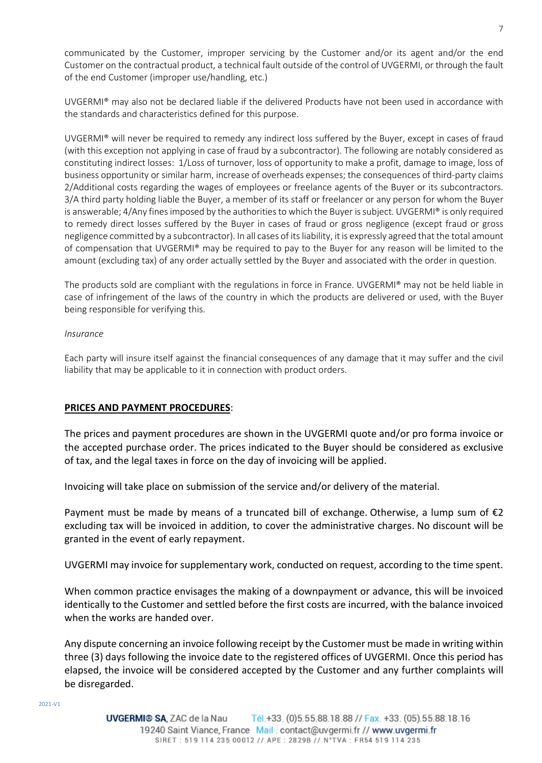communicated by the Customer, improper servicing by the Customer and/or its agent and/or the end Customer on the contractual product, a technical fault outside of the control of UVGERMI, or through the fault of the end Customer (improper use/handling, etc.)

UVGERMI® may also not be declared liable if the delivered Products have not been used in accordance with the standards and characteristics defined for this purpose.

UVGERMI® will never be required to remedy any indirect loss suffered by the Buyer, except in cases of fraud (with this exception not applying in case of fraud by a subcontractor). The following are notably considered as constituting indirect losses: 1/Loss of turnover, loss of opportunity to make a profit, damage to image, loss of business opportunity or similar harm, increase of overheads expenses; the consequences of third-party claims 2/Additional costs regarding the wages of employees or freelance agents of the Buyer or its subcontractors. 3/A third party holding liable the Buyer, a member of its staff or freelancer or any person for whom the Buyer is answerable; 4/Any fines imposed by the authorities to which the Buyer is subject. UVGERMI® is only required to remedy direct losses suffered by the Buyer in cases of fraud or gross negligence (except fraud or gross negligence committed by a subcontractor). In all cases of its liability, it is expressly agreed that the total amount of compensation that UVGERMI® may be required to pay to the Buyer for any reason will be limited to the amount (excluding tax) of any order actually settled by the Buyer and associated with the order in question.

The products sold are compliant with the regulations in force in France. UVGERMI® may not be held liable in case of infringement of the laws of the country in which the products are delivered or used, with the Buyer being responsible for verifying this.

# *Insurance*

Each party will insure itself against the financial consequences of any damage that it may suffer and the civil liability that may be applicable to it in connection with product orders.

# **PRICES AND PAYMENT PROCEDURES**:

The prices and payment procedures are shown in the UVGERMI quote and/or pro forma invoice or the accepted purchase order. The prices indicated to the Buyer should be considered as exclusive of tax, and the legal taxes in force on the day of invoicing will be applied.

Invoicing will take place on submission of the service and/or delivery of the material.

Payment must be made by means of a truncated bill of exchange. Otherwise, a lump sum of  $\epsilon$ 2 excluding tax will be invoiced in addition, to cover the administrative charges. No discount will be granted in the event of early repayment.

UVGERMI may invoice for supplementary work, conducted on request, according to the time spent.

When common practice envisages the making of a downpayment or advance, this will be invoiced identically to the Customer and settled before the first costs are incurred, with the balance invoiced when the works are handed over.

Any dispute concerning an invoice following receipt by the Customer must be made in writing within three (3) days following the invoice date to the registered offices of UVGERMI. Once this period has elapsed, the invoice will be considered accepted by the Customer and any further complaints will be disregarded.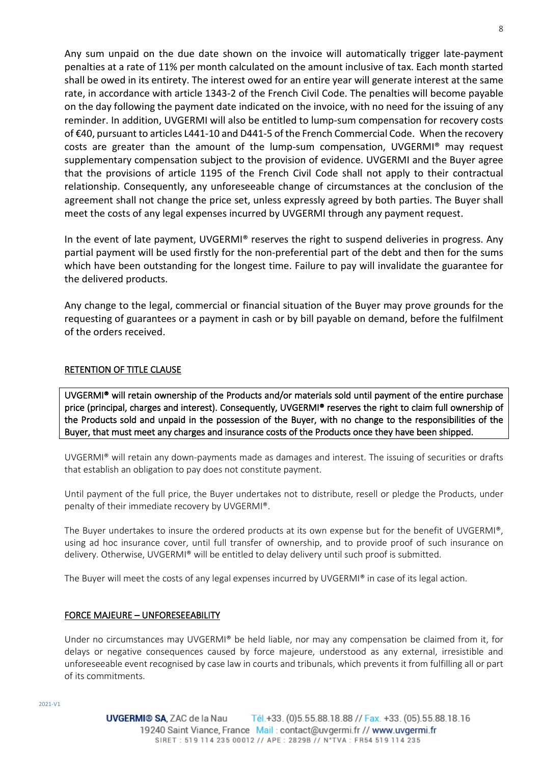Any sum unpaid on the due date shown on the invoice will automatically trigger late-payment penalties at a rate of 11% per month calculated on the amount inclusive of tax. Each month started shall be owed in its entirety. The interest owed for an entire year will generate interest at the same rate, in accordance with article 1343-2 of the French Civil Code. The penalties will become payable on the day following the payment date indicated on the invoice, with no need for the issuing of any reminder. In addition, UVGERMI will also be entitled to lump-sum compensation for recovery costs of €40, pursuant to articles L441-10 and D441-5 of the French Commercial Code. When the recovery costs are greater than the amount of the lump-sum compensation, UVGERMI® may request supplementary compensation subject to the provision of evidence. UVGERMI and the Buyer agree that the provisions of article 1195 of the French Civil Code shall not apply to their contractual relationship. Consequently, any unforeseeable change of circumstances at the conclusion of the agreement shall not change the price set, unless expressly agreed by both parties. The Buyer shall meet the costs of any legal expenses incurred by UVGERMI through any payment request.

In the event of late payment, UVGERMI® reserves the right to suspend deliveries in progress. Any partial payment will be used firstly for the non-preferential part of the debt and then for the sums which have been outstanding for the longest time. Failure to pay will invalidate the guarantee for the delivered products.

Any change to the legal, commercial or financial situation of the Buyer may prove grounds for the requesting of guarantees or a payment in cash or by bill payable on demand, before the fulfilment of the orders received.

# RETENTION OF TITLE CLAUSE

UVGERMI® will retain ownership of the Products and/or materials sold until payment of the entire purchase price (principal, charges and interest). Consequently, UVGERMI® reserves the right to claim full ownership of the Products sold and unpaid in the possession of the Buyer, with no change to the responsibilities of the Buyer, that must meet any charges and insurance costs of the Products once they have been shipped.

UVGERMI® will retain any down-payments made as damages and interest. The issuing of securities or drafts that establish an obligation to pay does not constitute payment.

Until payment of the full price, the Buyer undertakes not to distribute, resell or pledge the Products, under penalty of their immediate recovery by UVGERMI®.

The Buyer undertakes to insure the ordered products at its own expense but for the benefit of UVGERMI®, using ad hoc insurance cover, until full transfer of ownership, and to provide proof of such insurance on delivery. Otherwise, UVGERMI® will be entitled to delay delivery until such proof is submitted.

The Buyer will meet the costs of any legal expenses incurred by UVGERMI® in case of its legal action.

# FORCE MAJEURE – UNFORESEEABILITY

Under no circumstances may UVGERMI® be held liable, nor may any compensation be claimed from it, for delays or negative consequences caused by force majeure, understood as any external, irresistible and unforeseeable event recognised by case law in courts and tribunals, which prevents it from fulfilling all or part of its commitments.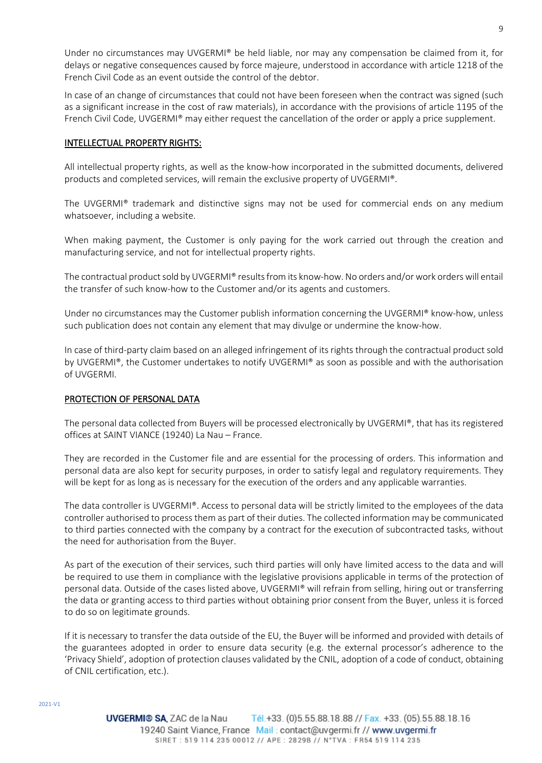Under no circumstances may UVGERMI® be held liable, nor may any compensation be claimed from it, for delays or negative consequences caused by force majeure, understood in accordance with article 1218 of the French Civil Code as an event outside the control of the debtor.

In case of an change of circumstances that could not have been foreseen when the contract was signed (such as a significant increase in the cost of raw materials), in accordance with the provisions of article 1195 of the French Civil Code, UVGERMI® may either request the cancellation of the order or apply a price supplement.

# INTELLECTUAL PROPERTY RIGHTS:

All intellectual property rights, as well as the know-how incorporated in the submitted documents, delivered products and completed services, will remain the exclusive property of UVGERMI®.

The UVGERMI® trademark and distinctive signs may not be used for commercial ends on any medium whatsoever, including a website.

When making payment, the Customer is only paying for the work carried out through the creation and manufacturing service, and not for intellectual property rights.

The contractual product sold by UVGERMI® results from its know-how. No orders and/or work orders will entail the transfer of such know-how to the Customer and/or its agents and customers.

Under no circumstances may the Customer publish information concerning the UVGERMI® know-how, unless such publication does not contain any element that may divulge or undermine the know-how.

In case of third-party claim based on an alleged infringement of its rights through the contractual product sold by UVGERMI®, the Customer undertakes to notify UVGERMI® as soon as possible and with the authorisation of UVGERMI.

# PROTECTION OF PERSONAL DATA

The personal data collected from Buyers will be processed electronically by UVGERMI®, that has its registered offices at SAINT VIANCE (19240) La Nau – France.

They are recorded in the Customer file and are essential for the processing of orders. This information and personal data are also kept for security purposes, in order to satisfy legal and regulatory requirements. They will be kept for as long as is necessary for the execution of the orders and any applicable warranties.

The data controller is UVGERMI®. Access to personal data will be strictly limited to the employees of the data controller authorised to process them as part of their duties. The collected information may be communicated to third parties connected with the company by a contract for the execution of subcontracted tasks, without the need for authorisation from the Buyer.

As part of the execution of their services, such third parties will only have limited access to the data and will be required to use them in compliance with the legislative provisions applicable in terms of the protection of personal data. Outside of the cases listed above, UVGERMI® will refrain from selling, hiring out or transferring the data or granting access to third parties without obtaining prior consent from the Buyer, unless it is forced to do so on legitimate grounds.

If it is necessary to transfer the data outside of the EU, the Buyer will be informed and provided with details of the guarantees adopted in order to ensure data security (e.g. the external processor's adherence to the 'Privacy Shield', adoption of protection clauses validated by the CNIL, adoption of a code of conduct, obtaining of CNIL certification, etc.).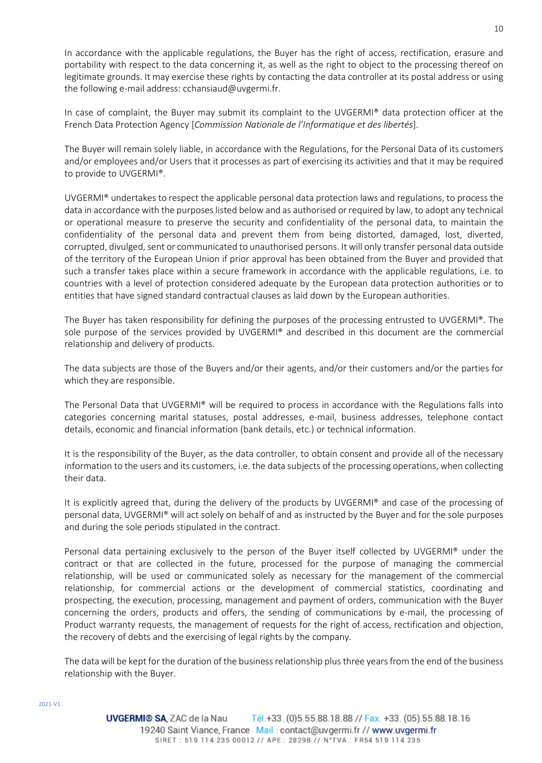In accordance with the applicable regulations, the Buyer has the right of access, rectification, erasure and portability with respect to the data concerning it, as well as the right to object to the processing thereof on legitimate grounds. It may exercise these rights by contacting the data controller at its postal address or using the following e-mail address: [cchansiaud@uvgermi.fr.](mailto:cchansiaud@uvgermi.fr)

In case of complaint, the Buyer may submit its complaint to the UVGERMI® data protection officer at the French Data Protection Agency [*Commission Nationale de l'Informatique et des libertés*].

The Buyer will remain solely liable, in accordance with the Regulations, for the Personal Data of its customers and/or employees and/or Users that it processes as part of exercising its activities and that it may be required to provide to UVGERMI®.

UVGERMI® undertakes to respect the applicable personal data protection laws and regulations, to process the data in accordance with the purposes listed below and as authorised or required by law, to adopt any technical or operational measure to preserve the security and confidentiality of the personal data, to maintain the confidentiality of the personal data and prevent them from being distorted, damaged, lost, diverted, corrupted, divulged, sent or communicated to unauthorised persons. It will only transfer personal data outside of the territory of the European Union if prior approval has been obtained from the Buyer and provided that such a transfer takes place within a secure framework in accordance with the applicable regulations, i.e. to countries with a level of protection considered adequate by the European data protection authorities or to entities that have signed standard contractual clauses as laid down by the European authorities.

The Buyer has taken responsibility for defining the purposes of the processing entrusted to UVGERMI®. The sole purpose of the services provided by UVGERMI® and described in this document are the commercial relationship and delivery of products.

The data subjects are those of the Buyers and/or their agents, and/or their customers and/or the parties for which they are responsible.

The Personal Data that UVGERMI® will be required to process in accordance with the Regulations falls into categories concerning marital statuses, postal addresses, e-mail, business addresses, telephone contact details, economic and financial information (bank details, etc.) or technical information.

It is the responsibility of the Buyer, as the data controller, to obtain consent and provide all of the necessary information to the users and its customers, i.e. the data subjects of the processing operations, when collecting their data.

It is explicitly agreed that, during the delivery of the products by UVGERMI® and case of the processing of personal data, UVGERMI® will act solely on behalf of and as instructed by the Buyer and for the sole purposes and during the sole periods stipulated in the contract.

Personal data pertaining exclusively to the person of the Buyer itself collected by UVGERMI® under the contract or that are collected in the future, processed for the purpose of managing the commercial relationship, will be used or communicated solely as necessary for the management of the commercial relationship, for commercial actions or the development of commercial statistics, coordinating and prospecting, the execution, processing, management and payment of orders, communication with the Buyer concerning the orders, products and offers, the sending of communications by e-mail, the processing of Product warranty requests, the management of requests for the right of access, rectification and objection, the recovery of debts and the exercising of legal rights by the company.

The data will be kept for the duration of the business relationship plus three years from the end of the business relationship with the Buyer.